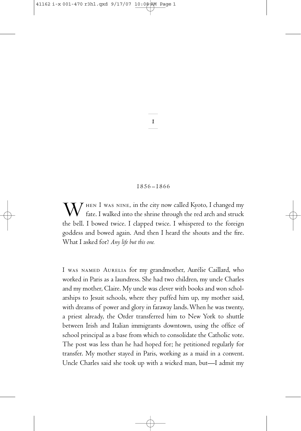# 1

# 1856–1866

 $\tau$  HEN I was NINE, in the city now called Kyoto, I changed my fate. I walked into the shrine through the red arch and struck the bell. I bowed twice. I clapped twice. I whispered to the foreign goddess and bowed again. And then I heard the shouts and the fire. What I asked for? *Any life but this one.*

I was named Aurelia for my grandmother, Aurélie Caillard, who worked in Paris as a laundress. She had two children, my uncle Charles and my mother, Claire. My uncle was clever with books and won scholarships to Jesuit schools, where they puffed him up, my mother said, with dreams of power and glory in faraway lands. When he was twenty, a priest already, the Order transferred him to New York to shuttle between Irish and Italian immigrants downtown, using the office of school principal as a base from which to consolidate the Catholic vote. The post was less than he had hoped for; he petitioned regularly for transfer. My mother stayed in Paris, working as a maid in a convent. Uncle Charles said she took up with a wicked man, but—I admit my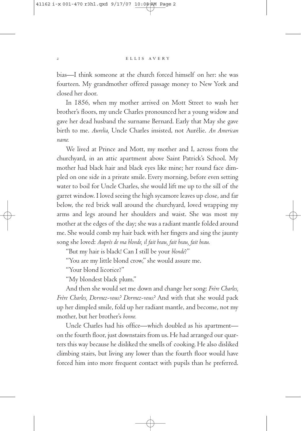bias—I think someone at the church forced himself on her: she was fourteen. My grandmother offered passage money to New York and closed her door.

In 1856, when my mother arrived on Mott Street to wash her brother's floors, my uncle Charles pronounced her a young widow and gave her dead husband the surname Bernard. Early that May she gave birth to me. *Aurelia,* Uncle Charles insisted, not Aurélie. *An American name.*

We lived at Prince and Mott, my mother and I, across from the churchyard, in an attic apartment above Saint Patrick's School. My mother had black hair and black eyes like mine; her round face dimpled on one side in a private smile. Every morning, before even setting water to boil for Uncle Charles, she would lift me up to the sill of the garret window. I loved seeing the high sycamore leaves up close, and far below, the red brick wall around the churchyard, loved wrapping my arms and legs around her shoulders and waist. She was most my mother at the edges of the day; she was a radiant mantle folded around me. She would comb my hair back with her fingers and sing the jaunty song she loved: *Auprès de ma blonde, il fait beau, fait beau, fait beau.*

"But my hair is black! Can I still be your *blonde*?"

"You are my little blond crow," she would assure me.

"Your blond licorice?"

"My blondest black plum."

And then she would set me down and change her song: *Frère Charles, Frère Charles, Dormez-vous? Dormez-vous?* And with that she would pack up her dimpled smile, fold up her radiant mantle, and become, not my mother, but her brother's *bonne.*

Uncle Charles had his office—which doubled as his apartment on the fourth floor, just downstairs from us. He had arranged our quarters this way because he disliked the smells of cooking. He also disliked climbing stairs, but living any lower than the fourth floor would have forced him into more frequent contact with pupils than he preferred.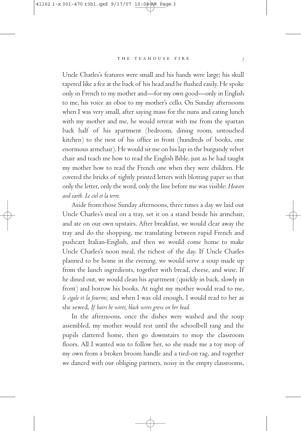41162 i-x 001-470 r3hl.qxd 9/17/07 10:08 AM Page 3

Uncle Charles's features were small and his hands were large; his skull tapered like a fez at the back of his head and he flushed easily. He spoke only in French to my mother and—for my own good—only in English to me, his voice an oboe to my mother's cello. On Sunday afternoons when I was very small, after saying mass for the nuns and eating lunch with my mother and me, he would retreat with me from the spartan back half of his apartment (bedroom, dining room, untouched kitchen) to the nest of his office in front (hundreds of books, one enormous armchair). He would sit me on his lap in the burgundy velvet chair and teach me how to read the English Bible, just as he had taught my mother how to read the French one when they were children. He covered the bricks of tightly printed letters with blotting paper so that only the letter, only the word, only the line before me was visible: *Heaven and earth. Le ciel et la terre.*

Aside from those Sunday afternoons, three times a day we laid out Uncle Charles's meal on a tray, set it on a stand beside his armchair, and ate on our own upstairs. After breakfast, we would clear away the tray and do the shopping, me translating between rapid French and pushcart Italian-English, and then we would come home to make Uncle Charles's noon meal, the richest of the day. If Uncle Charles planned to be home in the evening, we would serve a soup made up from the lunch ingredients, together with bread, cheese, and wine. If he dined out, we would clean his apartment (quickly in back, slowly in front) and borrow his books. At night my mother would read to me, *le cigale et la fourmi;* and when I was old enough, I would read to her as she sewed, *If hairs be wires, black wires grow on her head.*

In the afternoons, once the dishes were washed and the soup assembled, my mother would rest until the schoolbell rang and the pupils clattered home, then go downstairs to mop the classroom floors. All I wanted was to follow her, so she made me a toy mop of my own from a broken broom handle and a tied-on rag, and together we danced with our obliging partners, noisy in the empty classrooms,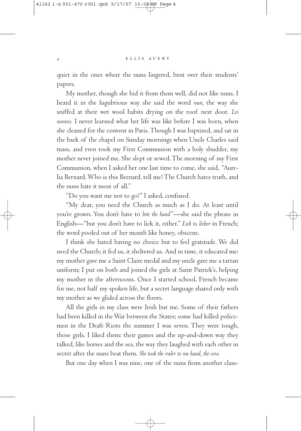quiet in the ones where the nuns lingered, bent over their students' papers.

My mother, though she hid it from them well, did not like nuns. I heard it in the lugubrious way she said the word *nun,* the way she sniffed at their wet wool habits drying on the roof next door. *Les nonnes.* I never learned what her life was like before I was born, when she cleaned for the convent in Paris. Though I was baptized, and sat in the back of the chapel on Sunday mornings when Uncle Charles said mass, and even took my First Communion with a holy shudder, my mother never joined me. She slept or sewed. The morning of my First Communion, when I asked her one last time to come, she said, "Aurelia Bernard. Who is this Bernard, tell me? The Church hates truth, and the nuns hate it most of all."

"Do you want me not to go?" I asked, confused.

"My dear, you need the Church as much as I do. At least until you're grown. You don't have to *bite the hand*"—she said the phrase in English—"but you don't have to lick it, either." *Lick* is *lécher* in French; the word pooled out of her mouth like honey, obscene.

I think she hated having no choice but to feel gratitude. We did need the Church; it fed us, it sheltered us. And in time, it educated me: my mother gave me a Saint Claire medal and my uncle gave me a tartan uniform; I put on both and joined the girls at Saint Patrick's, helping my mother in the afternoons. Once I started school, French became for me, not half my spoken life, but a secret language shared only with my mother as we glided across the floors.

All the girls in my class were Irish but me. Some of their fathers had been killed in the War between the States; some had killed policemen in the Draft Riots the summer I was seven. They were tough, those girls. I liked them: their games and the up-and-down way they talked, like horses and the sea, the way they laughed with each other in secret after the nuns beat them. *She took the ruler to me hand, the cow.*

But one day when I was nine, one of the nuns from another class-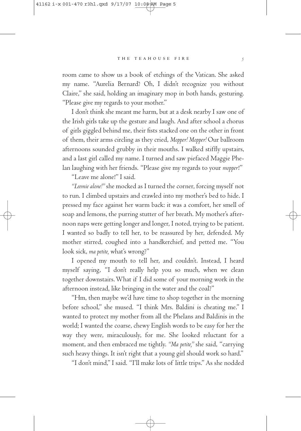room came to show us a book of etchings of the Vatican. She asked my name. "Aurelia Bernard? Oh, I didn't recognize you without Claire," she said, holding an imaginary mop in both hands, gesturing. "Please give my regards to your mother."

I don't think she meant me harm, but at a desk nearby I saw one of the Irish girls take up the gesture and laugh. And after school a chorus of girls giggled behind me, their fists stacked one on the other in front of them, their arms circling as they cried, *Mopper! Mopper!* Our ballroom afternoons sounded grubby in their mouths. I walked stiffly upstairs, and a last girl called my name. I turned and saw piefaced Maggie Phelan laughing with her friends. "Please give my regards to your *mopper*!"

"Leave me alone!" I said.

41162 i-x 001-470 r3hl.qxd 9/17/07 10:08 AM Page 5

*"Leemie alone!"* she mocked as I turned the corner, forcing myself not to run. I climbed upstairs and crawled into my mother's bed to hide. I pressed my face against her warm back: it was a comfort, her smell of soap and lemons, the purring stutter of her breath. My mother's afternoon naps were getting longer and longer, I noted, trying to be patient. I wanted so badly to tell her, to be reassured by her, defended. My mother stirred, coughed into a handkerchief, and petted me. "You look sick, *ma petite,* what's wrong?"

I opened my mouth to tell her, and couldn't. Instead, I heard myself saying, "I don't really help you so much, when we clean together downstairs. What if I did some of your morning work in the afternoon instead, like bringing in the water and the coal?"

"Hm, then maybe we'd have time to shop together in the morning before school," she mused. "I think Mrs. Baldini is cheating me." I wanted to protect my mother from all the Phelans and Baldinis in the world; I wanted the coarse, chewy English words to be easy for her the way they were, miraculously, for me. She looked reluctant for a moment, and then embraced me tightly. *"Ma petite,"* she said, "carrying such heavy things. It isn't right that a young girl should work so hard."

"I don't mind," I said. "I'll make lots of little trips." As she nodded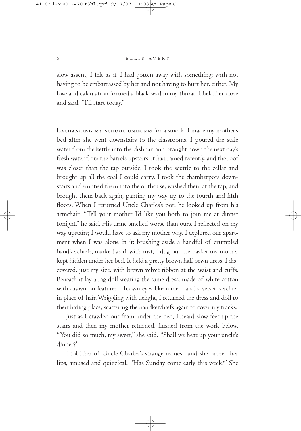slow assent, I felt as if I had gotten away with something: with not having to be embarrassed by her and not having to hurt her, either. My love and calculation formed a black wad in my throat. I held her close and said, "I'll start today."

Exchanging my school uniform for a smock, I made my mother's bed after she went downstairs to the classrooms. I poured the stale water from the kettle into the dishpan and brought down the next day's fresh water from the barrels upstairs: it had rained recently, and the roof was closer than the tap outside. I took the scuttle to the cellar and brought up all the coal I could carry. I took the chamberpots downstairs and emptied them into the outhouse, washed them at the tap, and brought them back again, panting my way up to the fourth and fifth floors. When I returned Uncle Charles's pot, he looked up from his armchair. "Tell your mother I'd like you both to join me at dinner tonight," he said. His urine smelled worse than ours, I reflected on my way upstairs; I would have to ask my mother why. I explored our apartment when I was alone in it: brushing aside a handful of crumpled handkerchiefs, marked as if with rust, I dug out the basket my mother kept hidden under her bed. It held a pretty brown half-sewn dress, I discovered, just my size, with brown velvet ribbon at the waist and cuffs. Beneath it lay a rag doll wearing the same dress, made of white cotton with drawn-on features—brown eyes like mine—and a velvet kerchief in place of hair. Wriggling with delight, I returned the dress and doll to their hiding place, scattering the handkerchiefs again to cover my tracks.

Just as I crawled out from under the bed, I heard slow feet up the stairs and then my mother returned, flushed from the work below. "You did so much, my sweet," she said. "Shall we heat up your uncle's dinner?"

I told her of Uncle Charles's strange request, and she pursed her lips, amused and quizzical. "Has Sunday come early this week?" She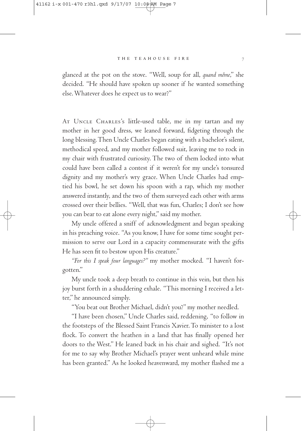41162 i-x 001-470 r3hl.qxd 9/17/07 10:08 AM Page 7

glanced at the pot on the stove. "Well, soup for all, *quand même*," she decided. "He should have spoken up sooner if he wanted something else. Whatever does he expect us to wear?"

AT UNCLE CHARLES's little-used table, me in my tartan and my mother in her good dress, we leaned forward, fidgeting through the long blessing. Then Uncle Charles began eating with a bachelor's silent, methodical speed, and my mother followed suit, leaving me to rock in my chair with frustrated curiosity. The two of them locked into what could have been called a contest if it weren't for my uncle's tonsured dignity and my mother's wry grace. When Uncle Charles had emptied his bowl, he set down his spoon with a rap, which my mother answered instantly, and the two of them surveyed each other with arms crossed over their bellies. "Well, that was fun, Charles; I don't see how you can bear to eat alone every night," said my mother.

My uncle offered a sniff of acknowledgment and began speaking in his preaching voice. "As you know, I have for some time sought permission to serve our Lord in a capacity commensurate with the gifts He has seen fit to bestow upon His creature."

*"For this I speak four languages?"* my mother mocked. "I haven't forgotten."

My uncle took a deep breath to continue in this vein, but then his joy burst forth in a shuddering exhale. "This morning I received a letter," he announced simply.

"You beat out Brother Michael, didn't you?" my mother needled.

"I have been chosen," Uncle Charles said, reddening, "to follow in the footsteps of the Blessed Saint Francis Xavier. To minister to a lost flock. To convert the heathen in a land that has finally opened her doors to the West." He leaned back in his chair and sighed. "It's not for me to say why Brother Michael's prayer went unheard while mine has been granted." As he looked heavenward, my mother flashed me a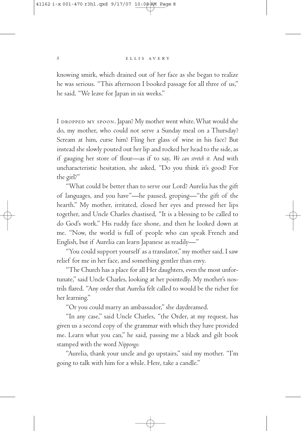knowing smirk, which drained out of her face as she began to realize he was serious. "This afternoon I booked passage for all three of us," he said. "We leave for Japan in six weeks."

I dropped my spoon. Japan? My mother went white. What would she do, my mother, who could not serve a Sunday meal on a Thursday? Scream at him, curse him? Fling her glass of wine in his face? But instead she slowly pouted out her lip and rocked her head to the side, as if gauging her store of flour—as if to say, *We can stretch it.* And with uncharacteristic hesitation, she asked, "Do you think it's good? For the girl?"

"What could be better than to serve our Lord? Aurelia has the gift of languages, and you have"—he paused, groping—"the gift of the hearth." My mother, irritated, closed her eyes and pressed her lips together, and Uncle Charles chastised, "It is a blessing to be called to do God's work." His ruddy face shone, and then he looked down at me. "Now, the world is full of people who can speak French and English, but if Aurelia can learn Japanese as readily—"

"You could support yourself as a translator," my mother said. I saw relief for me in her face, and something gentler than envy.

"The Church has a place for all Her daughters, even the most unfortunate," said Uncle Charles, looking at her pointedly. My mother's nostrils flared. "Any order that Aurelia felt called to would be the richer for her learning."

"Or you could marry an ambassador," she daydreamed.

"In any case," said Uncle Charles, "the Order, at my request, has given us a second copy of the grammar with which they have provided me. Learn what you can," he said, passing me a black and gilt book stamped with the word *Nippongo.*

"Aurelia, thank your uncle and go upstairs," said my mother. "I'm going to talk with him for a while. Here, take a candle."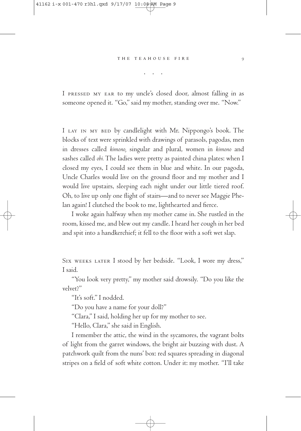41162 i-x 001-470 r3hl.qxd 9/17/07 10:08 AM Page 9

. . .

I pressed my ear to my uncle's closed door, almost falling in as someone opened it. "Go," said my mother, standing over me. "Now."

I LAY IN MY BED by candlelight with Mr. Nippongo's book. The blocks of text were sprinkled with drawings of parasols, pagodas, men in dresses called *kimono,* singular and plural, women in *kimono* and sashes called *obi.*The ladies were pretty as painted china plates: when I closed my eyes, I could see them in blue and white. In our pagoda, Uncle Charles would live on the ground floor and my mother and I would live upstairs, sleeping each night under our little tiered roof. Oh, to live up only one flight of stairs—and to never see Maggie Phelan again! I clutched the book to me, lighthearted and fierce.

I woke again halfway when my mother came in. She rustled in the room, kissed me, and blew out my candle. I heard her cough in her bed and spit into a handkerchief; it fell to the floor with a soft wet slap.

Six weeks later I stood by her bedside. "Look, I wore my dress," I said.

"You look very pretty," my mother said drowsily. "Do you like the velvet?"

"It's soft." I nodded.

"Do you have a name for your doll?"

"Clara," I said, holding her up for my mother to see.

"Hello, Clara," she said in English.

I remember the attic, the wind in the sycamores, the vagrant bolts of light from the garret windows, the bright air buzzing with dust. A patchwork quilt from the nuns' box: red squares spreading in diagonal stripes on a field of soft white cotton. Under it: my mother. "I'll take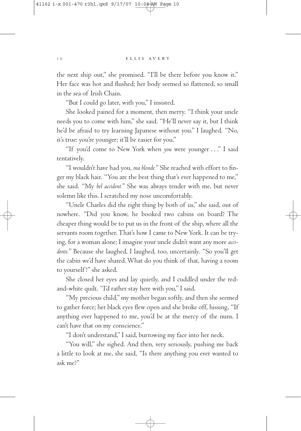the next ship out," she promised. "I'll be there before you know it." Her face was hot and flushed; her body seemed so flattened, so small in the sea of Irish Chain.

"But I could go later, with you," I insisted.

She looked pained for a moment, then merry. "I think your uncle needs you to come with him," she said. "He'll never say it, but I think he'd be afraid to try learning Japanese without you." I laughed. "No, it's true: you're younger; it'll be easier for you."

"If you'd come to New York when *you* were younger . . ." I said tentatively.

"I wouldn't have had you, *ma blonde.*" She reached with effort to finger my black hair. "You are the best thing that's ever happened to me," she said. "My *bel accident.*" She was always tender with me, but never solemn like this. I scratched my nose uncomfortably.

"Uncle Charles did the right thing by both of us," she said, out of nowhere. "Did you know, he booked two cabins on board? The cheaper thing would be to put us in the front of the ship, where all the servants room together. That's how I came to New York. It can be trying, for a woman alone; I imagine your uncle didn't want any more *accidents.*" Because she laughed, I laughed, too, uncertainly. "So you'll get the cabin we'd have shared. What do you think of that, having a room to yourself ?" she asked.

She closed her eyes and lay quietly, and I cuddled under the redand-white quilt. "I'd rather stay here with you," I said.

"My precious child," my mother began softly, and then she seemed to gather force; her black eyes flew open and she broke off, hissing, "If anything ever happened to me, you'd be at the mercy of the nuns. I can't have that on my conscience."

"I don't understand," I said, burrowing my face into her neck.

"You will," she sighed. And then, very seriously, pushing me back a little to look at me, she said, "Is there anything you ever wanted to ask me?"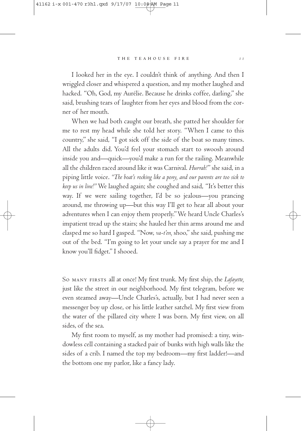41162 i-x 001-470 r3hl.qxd 9/17/07 10:08 AM Page 11

I looked her in the eye. I couldn't think of anything. And then I wriggled closer and whispered a question, and my mother laughed and hacked. "Oh, God, my Aurélie. Because he drinks coffee, darling," she said, brushing tears of laughter from her eyes and blood from the corner of her mouth.

When we had both caught our breath, she patted her shoulder for me to rest my head while she told her story. "When I came to this country," she said, "I got sick off the side of the boat so many times. All the adults did. You'd feel your stomach start to swoosh around inside you and—quick—you'd make a run for the railing. Meanwhile all the children raced around like it was Carnival. *Hurrah!*" she said, in a piping little voice. *"The boat's rocking like a pony, and our parents are too sick to keep us in line!"* We laughed again; she coughed and said, "It's better this way. If we were sailing together, I'd be so jealous—you prancing around, me throwing up—but this way I'll get to hear all about your adventures when I can enjoy them properly."We heard Uncle Charles's impatient tread up the stairs; she hauled her thin arms around me and clasped me so hard I gasped. "Now, *va-t'en,* shoo," she said, pushing me out of the bed. "I'm going to let your uncle say a prayer for me and I know you'll fidget." I shooed.

So many firsts all at once! My first trunk. My first ship, the *Lafayette,* just like the street in our neighborhood. My first telegram, before we even steamed away—Uncle Charles's, actually, but I had never seen a messenger boy up close, or his little leather satchel. My first view from the water of the pillared city where I was born. My first view, on all sides, of the sea.

My first room to myself, as my mother had promised: a tiny, windowless cell containing a stacked pair of bunks with high walls like the sides of a crib. I named the top my bedroom—my first ladder!—and the bottom one my parlor, like a fancy lady.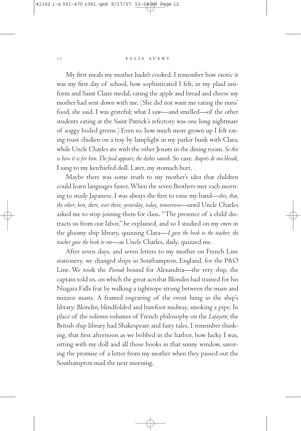My first meals my mother hadn't cooked. I remember how exotic it was my first day of school, how sophisticated I felt, in my plaid uniform and Saint Claire medal, eating the apple and bread and cheese my mother had sent down with me. (She did not want me eating the nuns' food, she said. I was grateful; what I saw—and smelled—of the other students eating at the Saint Patrick's refectory was one long nightmare of soggy boiled greens.) Even so, how much more grown up I felt eating roast chicken on a tray by lamplight in my parlor bunk with Clara, while Uncle Charles ate with the other Jesuits in the dining room. *So this is how it is for him. The food appears, the dishes vanish.* So easy. *Auprès de ma blonde,* I sang to my kerchiefed doll. Later, my stomach hurt.

Maybe there was some truth to my mother's idea that children could learn languages faster. When the seven Brothers met each morning to study Japanese, I was always the first to raise my hand—*this, that, the other; here, there, over there; yesterday, today, tomorrow*—until Uncle Charles asked me to stop joining them for class. "The presence of a child distracts us from our labor," he explained, and so I studied on my own in the gloomy ship library, quizzing Clara—*I gave the book to the teacher; the teacher gave the book to me*—as Uncle Charles, daily, quizzed me.

After seven days, and seven letters to my mother on French Line stationery, we changed ships in Southampton, England, for the P&O Line. We took the *Poonah* bound for Alexandria—the very ship, the captain told us, on which the great acrobat Blondin had trained for his Niagara Falls feat by walking a tightrope strung between the main and mizzen masts. A framed engraving of the event hung in the ship's library: Blondin, blindfolded and barefoot midway, smoking a pipe. In place of the solemn volumes of French philosophy on the *Lafayette,* the British ship library had Shakespeare and fairy tales. I remember thinking, that first afternoon as we bobbed in the harbor, how lucky I was, sitting with my doll and all those books in that sunny window, savoring the promise of a letter from my mother when they passed out the Southampton mail the next morning.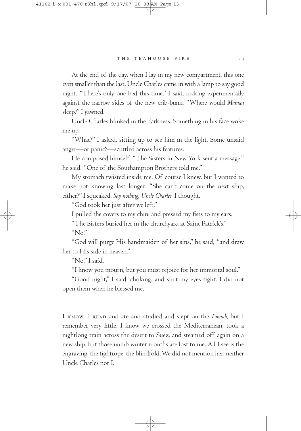At the end of the day, when I lay in my new compartment, this one even smaller than the last, Uncle Charles came in with a lamp to say good night. "There's only one bed this time," I said, rocking experimentally against the narrow sides of the new crib-bunk. "Where would *Maman* sleep?" I yawned.

Uncle Charles blinked in the darkness. Something in his face woke me up.

"What?" I asked, sitting up to see him in the light. Some unsaid anger—or panic?—scuttled across his features.

He composed himself. "The Sisters in New York sent a message," he said. "One of the Southampton Brothers told me."

My stomach twisted inside me. Of course I knew, but I wanted to make not knowing last longer. "She can't come on the next ship, either?" I squeaked. *Say nothing, Uncle Charles,* I thought.

"God took her just after we left."

I pulled the covers to my chin, and pressed my fists to my ears.

"The Sisters buried her in the churchyard at Saint Patrick's." "No."

"God will purge His handmaiden of her sins," he said, "and draw her to His side in heaven."

"No," I said.

"I know you mourn, but you must rejoice for her immortal soul."

"Good night," I said, choking, and shut my eyes tight. I did not open them when he blessed me.

I know I read and ate and studied and slept on the *Poonah,* but I remember very little. I know we crossed the Mediterranean, took a nightlong train across the desert to Suez, and steamed off again on a new ship, but those numb winter months are lost to me. All I see is the engraving, the tightrope, the blindfold. We did not mention her, neither Uncle Charles nor I.